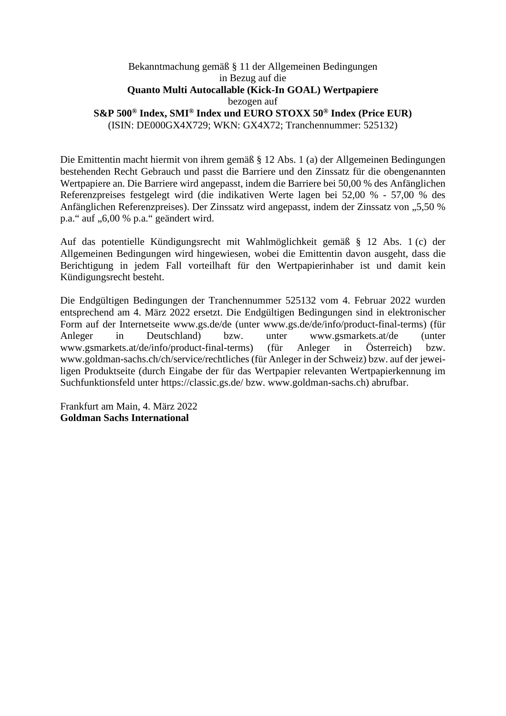## Bekanntmachung gemäß § 11 der Allgemeinen Bedingungen in Bezug auf die **Quanto Multi Autocallable (Kick-In GOAL) Wertpapiere**  bezogen auf **S&P 500® Index, SMI® Index und EURO STOXX 50® Index (Price EUR)**  (ISIN: DE000GX4X729; WKN: GX4X72; Tranchennummer: 525132)

Die Emittentin macht hiermit von ihrem gemäß § 12 Abs. 1 (a) der Allgemeinen Bedingungen bestehenden Recht Gebrauch und passt die Barriere und den Zinssatz für die obengenannten Wertpapiere an. Die Barriere wird angepasst, indem die Barriere bei 50,00 % des Anfänglichen Referenzpreises festgelegt wird (die indikativen Werte lagen bei 52,00 % - 57,00 % des Anfänglichen Referenzpreises). Der Zinssatz wird angepasst, indem der Zinssatz von "5,50 % p.a." auf "6,00 % p.a." geändert wird.

Auf das potentielle Kündigungsrecht mit Wahlmöglichkeit gemäß § 12 Abs. 1 (c) der Allgemeinen Bedingungen wird hingewiesen, wobei die Emittentin davon ausgeht, dass die Berichtigung in jedem Fall vorteilhaft für den Wertpapierinhaber ist und damit kein Kündigungsrecht besteht.

Die Endgültigen Bedingungen der Tranchennummer 525132 vom 4. Februar 2022 wurden entsprechend am 4. März 2022 ersetzt. Die Endgültigen Bedingungen sind in elektronischer Form auf der Internetseite www.gs.de/de (unter www.gs.de/de/info/product-final-terms) (für Anleger in Deutschland) bzw. unter www.gsmarkets.at/de (unter www.gsmarkets.at/de/info/product-final-terms) (für Anleger in Österreich) bzw. www.goldman-sachs.ch/ch/service/rechtliches (für Anleger in der Schweiz) bzw. auf der jeweiligen Produktseite (durch Eingabe der für das Wertpapier relevanten Wertpapierkennung im Suchfunktionsfeld unter https://classic.gs.de/ bzw. www.goldman-sachs.ch) abrufbar.

Frankfurt am Main, 4. März 2022 **Goldman Sachs International**